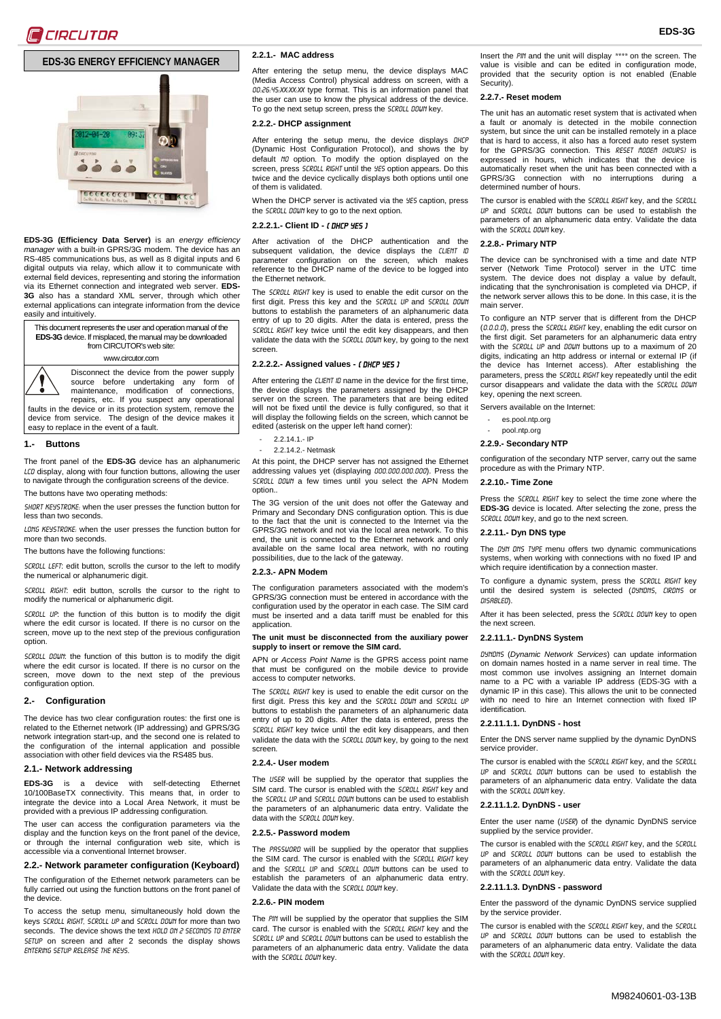# **EDS-3G ENERGY EFFICIENCY MANAGER**



**EDS-3G (Efficiency Data Server)** is an *energy efficiency manager* with a built-in GPRS/3G modem. The device has an RS-485 communications bus, as well as 8 digital inputs and 6 digital outputs via relay, which allow it to communicate with external field devices, representing and storing the information via its Ethernet connection and integrated web server. **EDS-3G** also has a standard XML server, through which other external applications can integrate information from the device easily and intuitively.

This document represents the user and operation manual of the **EDS-3G** device. If misplaced, the manual may be downloaded from CIRCUTOR's web site:

#### www.circutor.com

Disconnect the device from the power supply

source before undertaking any form of maintenance, modification of connections, repairs, etc. If you suspect any operational faults in the device or in its protection system, remove the device from service. The design of the device makes it easy to replace in the event of a fault.

#### **1.- Buttons**

The front panel of the **EDS-3G** device has an alphanumeric LCD display, along with four function buttons, allowing the user to navigate through the configuration screens of the device.

The buttons have two operating methods:

SHORT KEYSTROKE: when the user presses the function button for less than two seconds.

LONG KEYSTROKE: when the user presses the function button for more than two seconds.

The buttons have the following functions:

SCROLL LEFT: edit button, scrolls the cursor to the left to modify the numerical or alphanumeric digit.

SCROLL RIGHT: edit button, scrolls the cursor to the right to modify the numerical or alphanumeric digit.

SCROLL UP: the function of this button is to modify the digit where the edit cursor is located. If there is no cursor on the screen, move up to the next step of the previous configuration option.

SCROLL DOUN: the function of this button is to modify the digit where the edit cursor is located. If there is no cursor on the screen, move down to the next step of the previous configuration option.

#### **2.- Configuration**

The device has two clear configuration routes: the first one is related to the Ethernet network (IP addressing) and GPRS/3G network integration start-up, and the second one is related to the configuration of the internal application and possible association with other field devices via the RS485 bus.

#### **2.1.- Network addressing**

**EDS-3G** is a device with self-detecting Ethernet 10/100BaseTX connectivity. This means that, in order to integrate the device into a Local Area Network, it must be provided with a previous IP addressing configuration.

The user can access the configuration parameters via the display and the function keys on the front panel of the device, or through the internal configuration web site, which is accessible via a conventional Internet browser.

# **2.2.- Network parameter configuration (Keyboard)**

The configuration of the Ethernet network parameters can be fully carried out using the function buttons on the front panel of the device.

To access the setup menu, simultaneously hold down the keys Scroll RIGHT, Scroll up and Scroll down for more than two seconds. The device shows the text HOLD ON 2 SECONDS TO ENTER SETUP on screen and after 2 seconds the display shows ENTERING SETUP RELEASE THE KEYS.

# <span id="page-0-10"></span>**2.2.1.- MAC address**

After entering the setup menu, the device displays MAC (Media Access Control) physical address on screen, with a 00:26:45:XX:XX:XX type format. This is an information panel that the user can use to know the physical address of the device. To go the next setup screen, press the SCROLL DOUN key.

# <span id="page-0-0"></span>**2.2.2.- DHCP assignment**

After entering the setup menu, the device displays DHCF (Dynamic Host Configuration Protocol), and shows the by default NO option. To modify the option displayed on the screen, press SCROLL RIGHT until the YES option appears. Do this twice and the device cyclically displays both options until one of them is validated.

When the DHCP server is activated via the YES caption, press the SCROLL DOUN key to go to the next option.

#### **2.2.2.1.- Client ID -** ( DHCP YES )

After activation of the DHCP authentication and the subsequent validation, the device displays the CLIENT ID parameter configuration on the screen, which makes reference to the DHCP name of the device to be logged into the Ethernet network.

The SCROLL RIGHT key is used to enable the edit cursor on the first digit. Press this key and the SCROLL UP and SCROLL DOWN buttons to establish the parameters of an alphanumeric data entry of up to 20 digits. After the data is entered, press the SCROLL RIGHT key twice until the edit key disappears, and then validate the data with the SCROLL DOWN key, by going to the next screen.

### **2.2.2.2.- Assigned values -** ( DHCP YES )

After entering the CLIENT ID name in the device for the first time, the device displays the parameters assigned by the DHCP server on the screen. The parameters that are being edited will not be fixed until the device is fully configured, so that it will display the following fields on the screen, which cannot be edited (asterisk on the upper left hand corner):

- [2.2.14.1.-](#page-1-0) IP
- [2.2.14.2.-](#page-1-1) Netmask

At this point, the DHCP server has not assigned the Ethernet addressing values yet (displaying 000.000.000.000). Press the SCROLL DOWN a few times until you select the APN Modem option..

The 3G version of the unit does not offer the Gateway and Primary and Secondary DNS configuration option. This is due to the fact that the unit is connected to the Internet via the GPRS/3G network and not via the local area network. To this end, the unit is connected to the Ethernet network and only available on the same local area network, with no routing possibilities, due to the lack of the gateway.

#### <span id="page-0-1"></span>**2.2.3.- APN Modem**

The configuration parameters associated with the modem's GPRS/3G connection must be entered in accordance with the configuration used by the operator in each case. The SIM card must be inserted and a data tariff must be enabled for this application.

#### **The unit must be disconnected from the auxiliary power supply to insert or remove the SIM card.**

APN or *Access Point Name* is the GPRS access point name that must be configured on the mobile device to provide access to computer networks.

The SCROLL RIGHT key is used to enable the edit cursor on the first digit. Press this key and the SCROLL DOWN and SCROLL UP<br>buttons to establish the parameters of an alphanumeric data entry of up to 20 digits. After the data is entered, press the SCROLL RIGHT key twice until the edit key disappears, and then validate the data with the SCROLL DOWN key, by going to the next screen.

#### <span id="page-0-2"></span>**2.2.4.- User modem**

The USER will be supplied by the operator that supplies the SIM card. The cursor is enabled with the *SCROLL RIGHT* key and the SCROLL UP and SCROLL DOWN buttons can be used to establish the parameters of an alphanumeric data entry. Validate the data with the SCROLL DOUN key.

#### <span id="page-0-3"></span>**2.2.5.- Password modem**

The PRSSUORD will be supplied by the operator that supplies the SIM card. The cursor is enabled with the SCROLL RIGHT key and the SCROLL UP and SCROLL DOUN buttons can be used to establish the parameters of an alphanumeric data entry. Validate the data with the SCROLL DOUN key.

#### <span id="page-0-4"></span>**2.2.6.- PIN modem**

The PIN will be supplied by the operator that supplies the SIM card. The cursor is enabled with the *SCROLL RIGHT* key and the Scroll up and Scroll down buttons can be used to establish the parameters of an alphanumeric data entry. Validate the data with the SCROLL DOWN key.

Insert the PIN and the unit will display \*\*\*\* on the screen. The value is visible and can be edited in configuration mode, provided that the security option is not enabled [\(Enable](#page-1-2)  [Security\).](#page-1-2)

# <span id="page-0-5"></span>**2.2.7.- Reset modem**

The unit has an automatic reset system that is activated when a fault or anomaly is detected in the mobile connection system, but since the unit can be installed remotely in a place that is hard to access, it also has a forced auto reset system for the GPRS/3G connection. This RESET MODEM (HOURS) is expressed in hours, which indicates that the device is automatically reset when the unit has been connected with a GPRS/3G connection with no interruptions during a determined number of hours.

The cursor is enabled with the SCROLL RIGHT key, and the SCROLL up and Scroll down buttons can be used to establish the parameters of an alphanumeric data entry. Validate the data with the SCROLL DOUN key.

#### <span id="page-0-6"></span>**2.2.8.- Primary NTP**

The device can be synchronised with a time and date NTP server (Network Time Protocol) server in the UTC time system. The device does not display a value by default, indicating that the synchronisation is completed via DHCP, if the network server allows this to be done. In this case, it is the main server.

To configure an NTP server that is different from the DHCP (0.0.0.0), press the Scroll RIGHT key, enabling the edit cursor on the first digit. Set parameters for an alphanumeric data entry with the SCROLL UP and DOUN buttons up to a maximum of 20 digits, indicating an http address or internal or external IP (if the device has Internet access). After establishing the parameters, press the SCROLL RIGHT key repeatedly until the edit cursor disappears and validate the data with the SCROLL DOWN key, opening the next screen.

Servers available on the Internet:

- es.pool.ntp.org
- pool.ntp.org

#### <span id="page-0-7"></span>**2.2.9.- Secondary NTP**

configuration of the secondary NTP server, carry out the same procedure as with the Primary NTP.

#### <span id="page-0-8"></span>**2.2.10.- Time Zone**

Press the SCROLL RIGHT key to select the time zone where the **EDS-3G** device is located. After selecting the zone, press the SCROLL DOUN key, and go to the next screen.

#### <span id="page-0-9"></span>**2.2.11.- Dyn DNS type**

The DYN DNS TYPE menu offers two dynamic communications systems, when working with connections with no fixed IP and which require identification by a connection master.

To configure a dynamic system, press the SCROLL RIGHT key until the desired system is selected (DYNDNS, CIRDNS or disabled).

After it has been selected, press the SCROLL DOWN key to open the next screen.

#### **2.2.11.1.- DynDNS System**

DynDNS (*Dynamic Network Services*) can update information on domain names hosted in a name server in real time. The most common use involves assigning an [Internet](http://es.wikipedia.org/wiki/Internet) domain name to a PC with a variable [IP address](http://es.wikipedia.org/wiki/Direcci%C3%B3n_IP) (EDS-3G with a dynamic IP in this case). This allows the unit to be connected with no need to hire an Internet connection with fixed IF identification.

#### **2.2.11.1.1. DynDNS - host**

Enter the DNS server name supplied by the dynamic DynDNS service provider.

The cursor is enabled with the SCROLL RIGHT key, and the SCROLL UP and SCROLL DOUN buttons can be used to establish the parameters of an alphanumeric data entry. Validate the data with the SCROLL DOUN key.

# **2.2.11.1.2. DynDNS - user**

Enter the user name (USER) of the dynamic DynDNS service supplied by the service provider.

The cursor is enabled with the SCROLL RIGHT key, and the SCROLL up and Scroll down buttons can be used to establish the parameters of an alphanumeric data entry. Validate the data with the SCROLL DOWN key.

# **2.2.11.1.3. DynDNS - password**

Enter the password of the dynamic DynDNS service supplied by the service provider.

The cursor is enabled with the SCROLL RIGHT key, and the SCROLL up and Scroll down buttons can be used to establish the parameters of an alphanumeric data entry. Validate the data with the SCROLL DOWN key.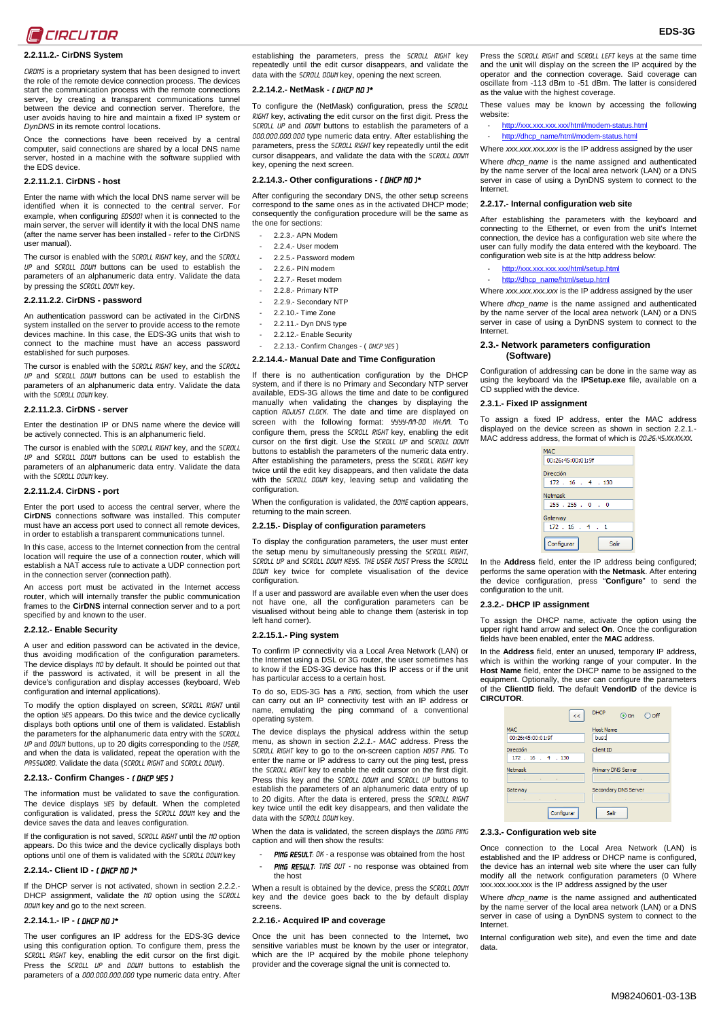

# **2.2.11.2.- CirDNS System**

CIRDNS is a proprietary system that has been designed to invert the role of the remote device connection process. The devices start the communication process with the remote connections server, by creating a transparent communications tunnel between the device and connection server. Therefore, the user avoids having to hire and maintain a fixed IP system or *DynDNS* in its remote control locations.

Once the connections have been received by a central computer, said connections are shared by a local DNS name server, hosted in a machine with the software supplied with the EDS device.

#### **2.2.11.2.1. CirDNS - host**

Enter the name with which the local DNS name server will be identified when it is connected to the central server. For example, when configuring ED5001 when it is connected to the main server, the server will identify it with the local DNS name (after the name server has been installed - refer to the CirDNS user manual).

The cursor is enabled with the SCROLL RIGHT key, and the SCROLL up and Scroll down buttons can be used to establish the parameters of an alphanumeric data entry. Validate the data by pressing the *SCROLL DOUN* key.

# **2.2.11.2.2. CirDNS - password**

An authentication password can be activated in the CirDNS system installed on the server to provide access to the remote devices machine. In this case, the EDS-3G units that wish to connect to the machine must have an access password established for such purposes.

The cursor is enabled with the SCROLL RIGHT key, and the SCROLL UP and SCROLL DOUN buttons can be used to establish the parameters of an alphanumeric data entry. Validate the data with the SCROLL DOWN key.

#### **2.2.11.2.3. CirDNS - server**

Enter the destination IP or DNS name where the device will be actively connected. This is an alphanumeric field.

The cursor is enabled with the SCROLL RIGHT key, and the SCROLL up and SCROLL DOWN buttons can be used to establish the parameters of an alphanumeric data entry. Validate the data with the SCROLL DOWN key.

#### **2.2.11.2.4. CirDNS - port**

Enter the port used to access the central server, where the **CirDNS** connections software was installed. This computer must have an access port used to connect all remote devices, in order to establish a transparent communications tunnel.

In this case, access to the Internet connection from the central location will require the use of a connection router, which will establish a NAT access rule to activate a UDP connection port in the connection server (connection path).

An access port must be activated in the Internet access router, which will internally transfer the public communication frames to the **CirDNS** internal connection server and to a port specified by and known to the user.

# <span id="page-1-2"></span>**2.2.12.- Enable Security**

A user and edition password can be activated in the device, thus avoiding modification of the configuration parameters. The device displays NO by default. It should be pointed out that if the password is activated, it will be present in all the device's configuration and display accesses (keyboard, Web configuration and internal applications).

To modify the option displayed on screen, SCROLL RIGHT until the option YES appears. Do this twice and the device cyclically displays both options until one of them is validated. Establish the parameters for the alphanumeric data entry with the SCROLL up and DOUN buttons, up to 20 digits corresponding to the USER, and when the data is validated, repeat the operation with the PRSSUORD. Validate the data (SCROLL RIGHT and SCROLL DOUM).

## <span id="page-1-3"></span>**2.2.13.- Confirm Changes -** ( DHCP YES )

The information must be validated to save the configuration. The device displays *YES* by default. When the completed configuration is validated, press the SCROLL DOWN key and the device saves the data and leaves configuration.

If the configuration is not saved, SCROLL RIGHT until the NO option appears. Do this twice and the device cyclically displays both options until one of them is validated with the SCROLL DOWN key

# **2.2.14.- Client ID -** ( DHCP NO )\*

If the DHCP server is not activated, shown in section [2.2.2.-](#page-0-0) [DHCP assignment,](#page-0-0) validate the NO option using the SCROLL DOUN key and go to the next screen.

# <span id="page-1-0"></span>**2.2.14.1.- IP -** ( DHCP no )\*

The user configures an IP address for the EDS-3G device using this configuration option. To configure them, press the Scroll RIGHT key, enabling the edit cursor on the first digit. Press the SCROLL UP and DOUN buttons to establish the parameters of a 000.000.000.000 type numeric data entry. After

establishing the parameters, press the SCROLL RIGHT key repeatedly until the edit cursor disappears, and validate the data with the SCROLL DOUN key, opening the next screen.

# <span id="page-1-1"></span>**2.2.14.2.- NetMask -** ( DHCP no )\*

To configure the (NetMask) configuration, press the SCROLL RIGHT key, activating the edit cursor on the first digit. Press the SCROLL UP and DOUN buttons to establish the parameters of a 000.000.000.000 type numeric data entry. After establishing the parameters, press the SCROLL RIGHT key repeatedly until the edit cursor disappears, and validate the data with the SCROLL DOWN key, opening the next screen.

# **2.2.14.3.- Other configurations -** ( DHCP no )\*

After configuring the secondary DNS, the other setup screens correspond to the same ones as in the activated DHCP mode; consequently the configuration procedure will be the same as the one for sections:

- [2.2.3.-](#page-0-1) [APN Modem](#page-0-1)
- [2.2.4.-](#page-0-2) [User modem](#page-0-2)
- [2.2.5.-](#page-0-3) [Password modem](#page-0-3)
- [2.2.6.-](#page-0-4) [PIN modem](#page-0-4)
- [2.2.7.-](#page-0-5) [Reset modem](#page-0-5)
- [2.2.8.-](#page-0-6) [Primary NTP](#page-0-6)
- [2.2.9.-](#page-0-7) [Secondary NTP](#page-0-7)
- [2.2.10.-](#page-0-8) [Time Zone](#page-0-8)
- [2.2.11.-](#page-0-9) [Dyn DNS type](#page-0-9)
- [2.2.12.-](#page-1-2) [Enable Security](#page-1-2)
- [2.2.13.-](#page-1-3) [Confirm Changes -](#page-1-3) ( DHCP YES )

#### **2.2.14.4.- Manual Date and Time Configuration**

If there is no authentication configuration by the DHCP system, and if there is no Primary and Secondary NTP server available, EDS-3G allows the time and date to be configured manually when validating the changes by displaying the caption *RDJUST CLOCK*. The date and time are displayed on screen with the following format: *YYYY-MM-DD HH:MM.* To configure them, press the SCROLL RIGHT key, enabling the edit cursor on the first digit. Use the SCROLL UP and SCROLL DOWN buttons to establish the parameters of the numeric data entry. After establishing the parameters, press the *SCR0LL RIGHT* key<br>twice until the edit key disappears, and then validate the data with the SCROLL DOUN key, leaving setup and validating the configuration.

When the configuration is validated, the DONE caption appears, returning to the main screen.

#### **2.2.15.- Display of configuration parameters**

To display the configuration parameters, the user must enter the setup menu by simultaneously pressing the SCROLL RIGHT, SCROLL UP and Scroll down keys. The user must Press the Scroll DOUN key twice for complete visualisation of the device configuration.

If a user and password are available even when the user does not have one, all the configuration parameters can be visualised without being able to change them (asterisk in top left hand corner).

#### **2.2.15.1.- Ping system**

To confirm IP connectivity via a Local Area Network (LAN) or the Internet using a DSL or 3G router, the user sometimes has to know if the EDS-3G device has this IP access or if the unit has particular access to a certain host.

To do so, EDS-3G has a PING, section, from which the user can carry out an IP connectivity test with an IP address or name, emulating the ping command of a conventional operating system.

The device displays the physical address within the setup menu, as shown in section *[2.2.1.-](#page-0-10) MAC* [address.](#page-0-10) Press the SCROLL RIGHT key to go to the on-screen caption HOST PING. To enter the name or IP address to carry out the ping test, press the SCROLL RIGHT key to enable the edit cursor on the first digit. Press this key and the SCROLL DOUN and SCROLL UP buttons to establish the parameters of an alphanumeric data entry of up to 20 digits. After the data is entered, press the SCROLL RIGHT key twice until the edit key disappears, and then validate the data with the SCROLL DOUN key.

When the data is validated, the screen displays the DOING PING caption and will then show the results:

- PING RESULT: 0K a response was obtained from the host
- PING RESULT: TIME OUT no response was obtained from the host

When a result is obtained by the device, press the SCROLL DOWN key and the device goes back to the by default display screens.

# **2.2.16.- Acquired IP and coverage**

Once the unit has been connected to the Internet, two sensitive variables must be known by the user or integrator, which are the IP acquired by the mobile phone telephony provider and the coverage signal the unit is connected to.

Press the SCROLL RIGHT and SCROLL LEFT keys at the same time and the unit will display on the screen the IP acquired by the operator and the connection coverage. Said coverage can oscillate from -113 dBm to -51 dBm. The latter is considered as the value with the highest coverage.

These values may be known by accessing the following website:

- <http://xxx.xxx.xxx.xxx/html/modem-status.html>
- http://dhcp\_name/html/modem-status.htm

<span id="page-1-4"></span>Where xxx.xxx.xxx.xxx is the IP address assigned by the user

Where *dhcp\_name* is the name assigned and authenticated by the name server of the local area network (LAN) or a DNS server in case of using a DynDNS system to connect to the Internet.

# **2.2.17.- Internal configuration web site**

After establishing the parameters with the keyboard and connecting to the Ethernet, or even from the unit's Internet connection, the device has a configuration web site where the user can fully modify the data entered with the keyboard. The configuration web site is at the http address below:

- <http://xxx.xxx.xxx.xxx/html/setup.html>
- [http://dhcp\\_name/html/setup.html](http://dhcp_name/html/setup.html)

Where xxx.xxx.xxx.xxx is the IP address assigned by the user Where *dhcp* name is the name assigned and authenticated by the name server of the local area network (LAN) or a DNS server in case of using a DynDNS system to connect to the Internet.

### **2.3.- Network parameters configuration (Software)**

Configuration of addressing can be done in the same way as using the keyboard via the **IPSetup.exe** file, available on a CD supplied with the device.

# **2.3.1.- Fixed IP assignment**

To assign a fixed IP address, enter the MAC address displayed on the device screen as shown in section [2.2.1.-](#page-0-10) [MAC address](#page-0-10) address, the format of which is 00:26:45:XX:XX:XX.



In the **Address** field, enter the IP address being configured; performs the same operation with the **Netmask**. After entering the device configuration, press "**Configure**" to send the configuration to the unit.

#### **2.3.2.- DHCP IP assignment**

To assign the DHCP name, activate the option using the upper right hand arrow and select **On**. Once the configuration fields have been enabled, enter the **MAC** address.

In the **Address** field, enter an unused, temporary IP address, which is within the working range of your computer. In the **Host Name** field, enter the DHCP name to be assigned to the equipment. Optionally, the user can configure the parameters of the **ClientID** field. The default **VendorID** of the device is **CIRCUTOR**.

| <<                                  | <b>DHCP</b><br>$\odot$ On<br>$\bigcirc$ off |
|-------------------------------------|---------------------------------------------|
| <b>MAC</b>                          | <b>Host Name</b>                            |
| 00:26:45:00:01:9f                   | bus1                                        |
| Dirección                           | Client ID                                   |
| 172 . 16 . 4 . 130                  |                                             |
| <b>Netmask</b>                      | Primary DNS Server                          |
| the contract of the contract of the | the company's company's company's           |
| Gateway                             | Secondary DNS Server                        |
| the control of the control of the   | the company's company's com-                |
| Configurar                          | Salir                                       |

### **2.3.3.- Configuration web site**

Once connection to the Local Area Network (LAN) is established and the IP address or DHCP name is configured, the device has an internal web site where the user can fully modify all the network configuration parameters [\(0](#page-1-4) [Where](#page-1-4)  xxx.xxx.xxx.xxx [is the IP address assigned by the user](#page-1-4) 

Where *dhcp* name is the name assigned and authenticated [by the name server of the local area network \(LAN\) or a DNS](#page-1-4)  [server in case of using a DynDNS system to connect to the](#page-1-4)  [Internet.](#page-1-4)

[Internal configuration web site\),](#page-1-4) and even the time and date data.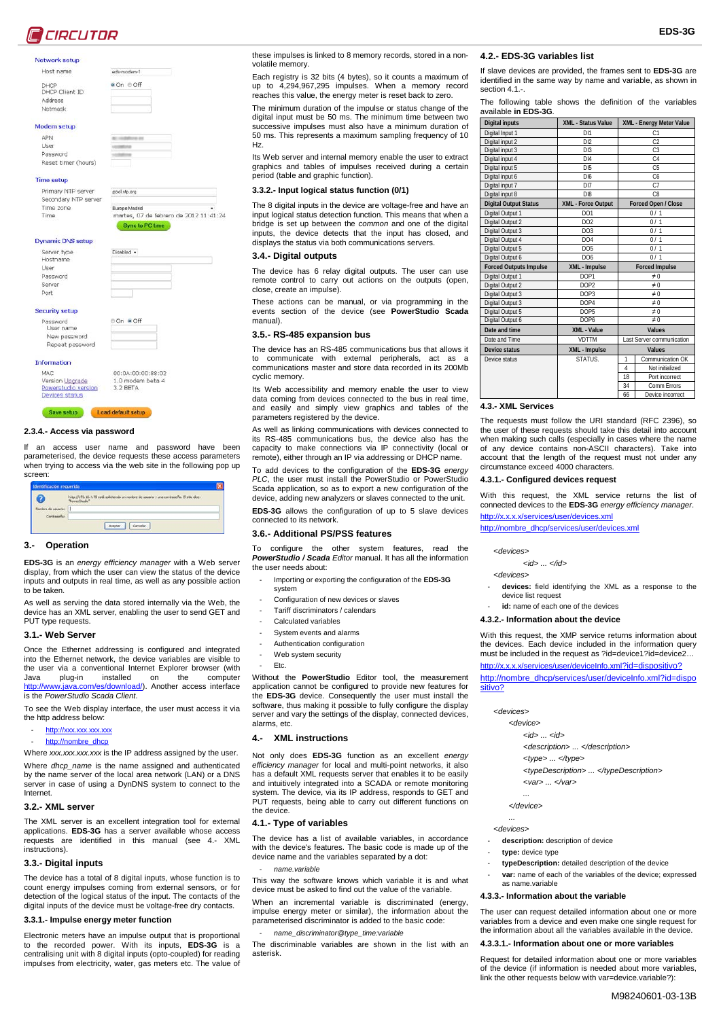

#### Network setup

| Host name |  |  |
|-----------|--|--|

DHCP

| DHCP Client ID |  |
|----------------|--|
| Address        |  |
| Netmask        |  |

Modem setup

APN User

Password Reset timer (hours)

# **Time setup**

Primary NTP server Secondary NTP server Time zone Time

Sync to PC time

| Server type           | Disabled - |
|-----------------------|------------|
| Hostname              |            |
| User                  |            |
| Password              |            |
| Server                |            |
| Port                  |            |
| <b>Security setup</b> |            |
| Password              | ⊕ On ● Off |
| User name             |            |
| New password          |            |
| Repeat password       |            |

eds-modem-1

● On © Off

pool ntp.org

Europe Madrid<br>martes, 07 de febrero de 2012 11:41:24

00:04:00:00:88:07 MAC 00:04:00:00:88:02<br>1.0 modem beta 4<br>3.2 BETA Version Upgrade Powerstudio version **Devices status** 

Save setup Load default setup

# **2.3.4.- Access via password**

If an access user name and password have been parameterised, the device requests these access parameters when trying to access via the web site in the following pop up screen:

|                                   | http://172.16.4.75 está solicitando un nombre de usuario y una contraseña. El sitio dice:<br>Tower Churles |
|-----------------------------------|------------------------------------------------------------------------------------------------------------|
| Nonbre de usuario:<br>Contraseña: |                                                                                                            |

#### **3.- Operation**

**EDS-3G** is an *energy efficiency manager* with a Web server display, from which the user can view the status of the device inputs and outputs in real time, as well as any possible action to be taken.

As well as serving the data stored internally via the Web, the device has an XML server, enabling the user to send GET and PUT type requests.

#### **3.1.- Web Server**

Once the Ethernet addressing is configured and integrated into the Ethernet network, the device variables are visible to the user via a conventional Internet Explorer browser (with Java plug-in installed on the computer<br><u>http://www.java.com/es/download/</u>). Another access interface is the *PowerStudio Scada Client*.

To see the Web display interface, the user must access it via the http address below:

- [http://xxx.xxx.xxx.xxx](http://xxx.xxx.xxx.xxx/)
- [http://nombre\\_dhcp](http://nombre_dhcp/)

Where *xxx.xxx.xxx.xxx* is the IP address assigned by the user. Where *dhcp* name is the name assigned and authenticated by the name server of the local area network (LAN) or a DNS server in case of using a DynDNS system to connect to the Internet.

#### **3.2.- XML server**

The XML server is an excellent integration tool for external applications. **EDS-3G** has a server available whose access requests are identified in this manual (see [4.-](#page-2-0) [XML](#page-2-0)  [instructions\).](#page-2-0)

#### **3.3.- Digital inputs**

The device has a total of 8 digital inputs, whose function is to count energy impulses coming from external sensors, or for detection of the logical status of the input. The contacts of the digital inputs of the device must be voltage-free dry contacts.

#### **3.3.1.- Impulse energy meter function**

Electronic meters have an impulse output that is proportional to the recorded power. With its inputs, **EDS-3G** is a centralising unit with 8 digital inputs (opto-coupled) for reading impulses from electricity, water, gas meters etc. The value of

these impulses is linked to 8 memory records, stored in a nonvolatile memory.

Each registry is 32 bits (4 bytes), so it counts a maximum of up to 4,294,967,295 impulses. When a memory record reaches this value, the energy meter is reset back to zero.

The minimum duration of the impulse or status change of the digital input must be 50 ms. The minimum time between two successive impulses must also have a minimum duration of 50 ms. This represents a maximum sampling frequency of 10 Hz.

Its Web server and internal memory enable the user to extract graphics and tables of impulses received during a certain period (table and graphic function).

# **3.3.2.- Input logical status function (0/1)**

The 8 digital inputs in the device are voltage-free and have an input logical status detection function. This means that when a bridge is set up between the *common* and one of the digital inputs, the device detects that the input has closed, and displays the status via both communications servers.

#### **3.4.- Digital outputs**

The device has 6 relay digital outputs. The user can use remote control to carry out actions on the outputs (open, close, create an impulse).

These actions can be manual, or via programming in the events section of the device (see **PowerStudio Scada** manual).

#### **3.5.- RS-485 expansion bus**

The device has an RS-485 communications bus that allows it to communicate with external peripherals, act as communications master and store data recorded in its 200Mb cyclic memory.

Its Web accessibility and memory enable the user to view data coming from devices connected to the bus in real time, and easily and simply view graphics and tables of the parameters registered by the device.

As well as linking communications with devices connected to its RS-485 communications bus, the device also has the capacity to make connections via IP connectivity (local or remote), either through an IP via addressing or DHCP name.

To add devices to the configuration of the **EDS-3G** *energy PLC*, the user must install the PowerStudio or PowerStudio Scada application, so as to export a new configuration of the device, adding new analyzers or slaves connected to the unit. **EDS-3G** allows the configuration of up to 5 slave devices connected to its network.

#### **3.6.- Additional PS/PSS features**

To configure the other system features, read the *PowerStudio / Scada Editor* manual. It has all the information the user needs about:

- Importing or exporting the configuration of the **EDS-3G**
- system
- Configuration of new devices or slaves
- Tariff discriminators / calendars Calculated variables
- System events and alarms
- Authentication configuration
- Web system security
- Etc.

Without the **PowerStudio** Editor tool, the measurement application cannot be configured to provide new features for the **EDS-3G** device. Consequently the user must install the software, thus making it possible to fully configure the display server and vary the settings of the display, connected devices, alarms, etc.

# <span id="page-2-0"></span>**4.- XML instructions**

Not only does **EDS-3G** function as an excellent *energy efficiency manager* for local and multi-point networks, it also has a default XML requests server that enables it to be easily and intuitively integrated into a SCADA or remote monitoring system. The device, via its IP address, responds to GET and PUT requests, being able to carry out different functions on the device.

#### <span id="page-2-1"></span>**4.1.- Type of variables**

The device has a list of available variables, in accordance with the device's features. The basic code is made up of the device name and the variables separated by a dot:

- *name.variable*

This way the software knows which variable it is and what device must be asked to find out the value of the variable.

When an incremental variable is discriminated (energy, impulse energy meter or similar), the information about the parameterised discriminator is added to the basic code:

# - *name\_discriminator@type\_time:variable*

The discriminable variables are shown in the list with an asterisk.

#### **4.2.- EDS-3G variables list**

If slave devices are provided, the frames sent to **EDS-3G** are identified in the same way by name and variable, as shown in section 4.1.-

**EDS-3G**

The following table shows the definition of the variables available **in EDS-3G**.

| <b>Digital inputs</b>         | XML - Status Value | XML - Energy Meter Value          |  |  |
|-------------------------------|--------------------|-----------------------------------|--|--|
| Digital Input 1               | DI1                | C <sub>1</sub>                    |  |  |
| Digital input 2               | DI2                | C <sub>2</sub>                    |  |  |
| Digital input 3               | DI3                | C <sub>3</sub>                    |  |  |
| Digital input 4               | D14                | C <sub>4</sub>                    |  |  |
| Digital input 5               | DIS                | C <sub>5</sub>                    |  |  |
| Digital input 6               | D <sub>16</sub>    | C <sub>6</sub>                    |  |  |
| Digital input 7               | D <sub>17</sub>    | C7                                |  |  |
| Digital input 8               | D <sub>18</sub>    | C <sub>8</sub>                    |  |  |
| <b>Digital Output Status</b>  | XML - Force Output | Forced Open / Close               |  |  |
| Digital Output 1              | DO1                | 0/1                               |  |  |
| Digital Output 2              | DO2                | 0/1                               |  |  |
| Digital Output 3              | DO <sub>3</sub>    | 0/1                               |  |  |
| Digital Output 4              | DO <sub>4</sub>    | 0/1                               |  |  |
| Digital Output 5              | DO <sub>5</sub>    | 0/1                               |  |  |
| Digital Output 6              | DO <sub>6</sub>    | 0/1                               |  |  |
| <b>Forced Outputs Impulse</b> | XML - Impulse      | <b>Forced Impulse</b>             |  |  |
| Digital Output 1              | DOP1               | $\neq 0$                          |  |  |
| Digital Output 2              | DOP <sub>2</sub>   | $\neq 0$                          |  |  |
|                               | DOP3               | $\neq 0$                          |  |  |
| Digital Output 3              |                    |                                   |  |  |
| Digital Output 3              | DOP <sub>4</sub>   | $\neq 0$                          |  |  |
| Digital Output 5              | DOP5               | $\neq 0$                          |  |  |
| Digital Output 6              | DOP <sub>6</sub>   | $\neq 0$                          |  |  |
| Date and time                 | XML - Value        | Values                            |  |  |
| Date and Time                 | <b>VDTTM</b>       | Last Server communication         |  |  |
| Device status                 | XML - Impulse      | Values                            |  |  |
| Device status                 | STATUS.            | Communication OK<br>1             |  |  |
|                               |                    | Not initialized<br>$\overline{a}$ |  |  |
|                               |                    | 18<br>Port incorrect              |  |  |
|                               |                    | 34<br>Comm Errors<br>66           |  |  |

#### **4.3.- XML Services**

The requests must follow the URI standard (RFC 2396), so the user of these requests should take this detail into account when making such calls (especially in cases where the name of any device contains non-ASCII characters). Take into account that the length of the request must not under any circumstance exceed 4000 characters.

#### **4.3.1.- Configured devices request**

With this request, the XML service returns the list of connected devices to the **EDS-3G** *energy efficiency manager*. <http://x.x.x.x/services/user/devices.xml>

[http://nombre\\_dhcp/services/user/devices.xml](http://nombre_dhcp/services/user/devices.xml)

 *<devices>*

*<id> ... </id>*

 *<devices>*

devices: field identifying the XML as a response to the device list request

- **id:** name of each one of the devices

**4.3.2.- Information about the device**

With this request, the XMP service returns information about the devices. Each device included in the information query must be included in the request as ?id=device1?id=device2…

#### [http://x.x.x.x/services/user/deviceInfo.xml?](http://x.x.x.x/services/user/deviceInfo.xml)id=dispositivo?

http://nombre\_dhcp/services/user/deviceInfo.xml?id=dispo sitivo?

 *<devices>*

#### *<device>*

- *<id> ... <id>*
- *<description> ... </description>*
- *<type> ... </type>*
- *<typeDescription> ... </typeDescription>*
- *<var> ... </var>*

*... </device>*

 *...*

#### *<devices>*

- description: description of device
- type: device type
- **typeDescription:** detailed description of the device
- var: name of each of the variables of the device; expressed as name.variable

The user can request detailed information about one or more variables from a device and even make one single request for the information about all the variables available in the device. **4.3.3.1.- Information about one or more variables** Request for detailed information about one or more variables of the device (if information is needed about more variables, link the other requests below with var=device.variable?):

M98240601-03-13B

#### **4.3.3.- Information about the variable**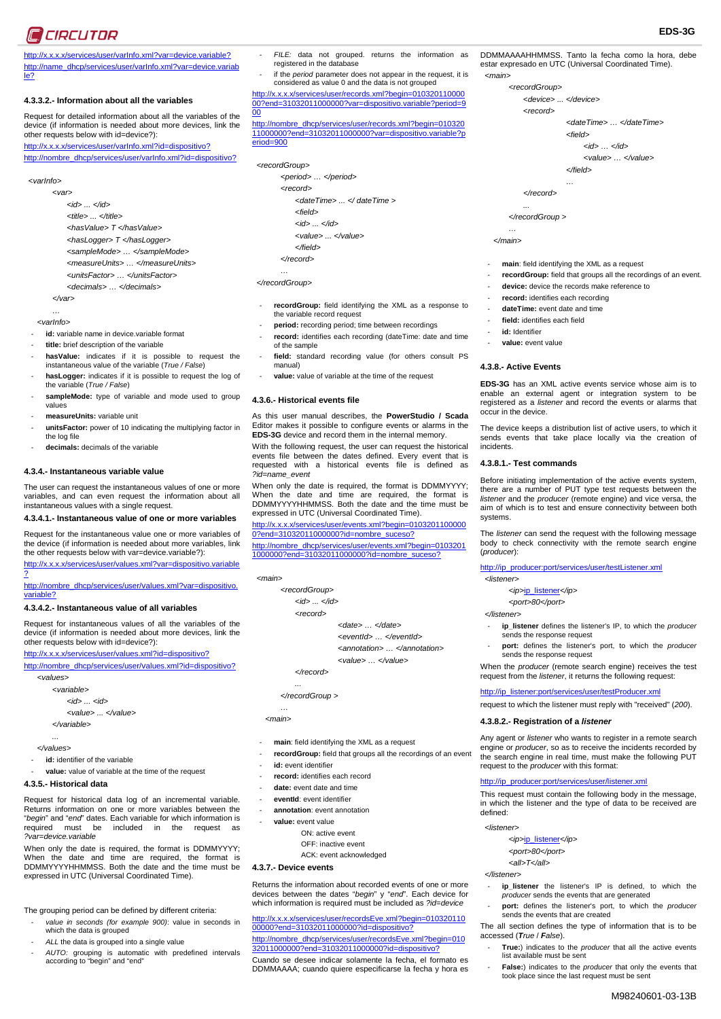# **C** CIRCUTOR

http://x.x.x.x/services/user/varInfo.xml?var=device.variable? http://name\_dhcp/services/user/varInfo.xml?var=device.variab le?

# **4.3.3.2.- Information about all the variables**

Request for detailed information about all the variables of the device (if information is needed about more devices, link the other requests below with id=device?): [http://x.x.x.x/services/user/varInfo.xml?id](http://x.x.x.x/services/user/varInfo.xml?)=dispositivo?

[http://nombre\\_dhcp/services/user/varInfo.xml?id](http://nombre_dhcp/services/user/varInfo.xml?)=dispositivo?

# *<varInfo>*

 *<var> <id> ... </id> <title> ... </title> <hasValue> T </hasValue> <hasLogger> T </hasLogger> <sampleMode> … </sampleMode> <measureUnits> … </measureUnits> <unitsFactor> … </unitsFactor> <decimals> … </decimals> </var>*

 *…*

- *<varInfo>*
- id: variable name in device.variable format
- **title:** brief description of the variable
- hasValue: indicates if it is possible to request the instantaneous value of the variable (*True / False*)
- hasLogger: indicates if it is possible to request the log of the variable (*True / False*)
- sampleMode: type of variable and mode used to group values
- measureUnits: variable unit
- unitsFactor: power of 10 indicating the multiplying factor in the log file
- decimals: decimals of the variable

# **4.3.4.- Instantaneous variable value**

The user can request the instantaneous values of one or more variables, and can even request the information about all instantaneous values with a single request.

#### **4.3.4.1.- Instantaneous value of one or more variables**

Request for the instantaneous value one or more variables of the device (if information is needed about more variables, link the other requests below with var=device.variable?):

<http://x.x.x.x/services/user/values.xml?var=dispositivo.variable> ?

http://nombre\_dhcp/services/user/values.xml?var=dispositivo. variable?

#### **4.3.4.2.- Instantaneous value of all variables**

Request for instantaneous values of all the variables of the device (if information is needed about more devices, link the other requests below with id=device?):

http://x.x.x.x/services/user/values.xml?id=dispositivo?

http://nombre\_dhcp/services/user/values.xml?id=dispositivo?  *<values>*

 *<variable>*

*<id> ... <id>*

- *<value> ... </value>*
- *</variable>*
- *...*
	- *</values>*
	- **id:** identifier of the variable
	- value: value of variable at the time of the request

#### **4.3.5.- Historical data**

Request for historical data log of an incremental variable. Returns information on one or more variables between the "*begin*" and "*end*" dates. Each variable for which information is required must be included in the request as *?var=device.variable*

When only the date is required, the format is DDMMYYYY; When the date and time are required, the format is DDMMYYYYHHMMSS. Both the date and the time must be expressed in UTC (Universal Coordinated Time).

The grouping period can be defined by different criteria:

- value in seconds (for example 900): value in seconds in which the data is grouped
- ALL the data is grouped into a single value
- *AUTO:* grouping is automatic with predefined intervals according to "begin" and "end"
- FILE: data not grouped. returns the information as registered in the database
- if the *period* parameter does not appear in the request, it is considered as value 0 and the data is not grouped

[http://x.x.x.x/services/user/r](http://x.x.x.x/services/user/)ecords.xml?begin=010320110000 00?end=31032011000000?var=dispositivo.variable?period=9

00 [http://nombre\\_dhcp/services/user/re](http://nombre_dhcp/services/user/)cords.xml?begin=010320 11000000?end=31032011000000?var=dispositivo.variable?p eriod=900

#### *<recordGroup>*

- *<period> … </period>*
	- *<record> <dateTime> ... </ dateTime >*
		- *<field>*
		- *<id> ... </id>*
		- *<value> ... </value>*
		- *</field>*
	- *</record>*

#### *… </recordGroup>*

- recordGroup: field identifying the XML as a response to the variable record request
- period: recording period; time between recordings
- record: identifies each recording (dateTime: date and time of the sample
- field: standard recording value (for others consult PS manual)
- value: value of variable at the time of the request

#### **4.3.6.- Historical events file**

As this user manual describes, the **PowerStudio / Scada** Editor makes it possible to configure events or alarms in the **EDS-3G** device and record them in the internal memory.

With the following request, the user can request the historical events file between the dates defined. Every event that is requested with a historical events file is defined as *?id=name\_event*

When only the date is required, the format is DDMMYYYY; When the date and time are required, the format is DDMMYYYYHHMMSS. Both the date and the time must be expressed in UTC (Universal Coordinated Time).

#### [http://x.x.x.x/services/user/e](http://x.x.x.x/services/user/)vents.xml?begin=0103201100000 0?end=31032011000000?id=nombre\_suceso?

[http://nombre\\_dhcp/services/user/e](http://nombre_dhcp/services/user/)vents.xml?begin=0103201 1000000?end=31032011000000?id=nombre\_suceso?

| $<$ main $>$                                   |                            |
|------------------------------------------------|----------------------------|
| <recordgroup></recordgroup>                    |                            |
| $<$ <i>id</i> $>$ $\ldots$ $<$ / <i>id</i> $>$ |                            |
| <record></record>                              |                            |
|                                                | <date> </date>             |
|                                                | <eventid> </eventid>       |
|                                                | <annotation> </annotation> |
|                                                | <value> </value>           |
| $\epsilon$ /record>                            |                            |
|                                                |                            |
| $\lt$ /recordGroup >                           |                            |
| .                                              |                            |

 *<main>*

- main: field identifying the XML as a request
- recordGroup: field that groups all the recordings of an event
- id: event identifier
- record: identifies each record
- date: event date and time
- eventId: event identifier
- **annotation**: event annotation
	- value: event value
	- ON: active event OFF: inactive event
		- ACK: event acknowledged

# **4.3.7.- Device events**

Returns the information about recorded events of one or more devices between the dates "*begin*" y "*end*". Each device for which information is required must be included as *?id=device*

[http://x.x.x.x/services/user/r](http://x.x.x.x/services/user/)ecordsEve.xml?begin=010320110 00000?end=31032011000000?id=dispositivo? [http://nombre\\_dhcp/services/user/re](http://nombre_dhcp/services/user/)cordsEve.xml?begin=010 32011000000?end=31032011000000?id=dispo

Cuando se desee indicar solamente la fecha, el formato es DDMMAAAA; cuando quiere especificarse la fecha y hora es DDMMAAAAHHMMSS. Tanto la fecha como la hora, debe estar expresado en UTC (Universal Coordinated Time).  *<main>*

**EDS-3G**

- *<recordGroup>*
- *<device> ... </device>*
- *<record>*
	- *<dateTime> … </dateTime>*

*<field>*

 *<id> … </id>*

 *<value> … </value>*

*</field>*

*… </record>*

*...*

 *</recordGroup >*

 *… </main>*

- main: field identifying the XML as a request
- recordGroup: field that groups all the recordings of an event.

**EDS-3G** has an XML active events service whose aim is to enable an external agent or integration system to be registered as a *listener* and record the events or alarms that

The device keeps a distribution list of active users, to which it sends events that take place locally via the creation of

Before initiating implementation of the active events system, there are a number of PUT type test requests between the *listener* and the *producer* (remote engine) and vice versa, the aim of which is to test and ensure connectivity between both

The *listener* can send the request with the following message body to check connectivity with the remote search engine

ip listener defines the listener's IP, to which the *producer* 

port: defines the listener's port, to which the *producer* 

When the *producer* (remote search engine) receives the test request from the *listener*, it returns the following request: http://ip\_listener:port/services/user/testProducer.xml request to which the listener must reply with "received" (*200*).

Any agent or *listener* who wants to register in a remote search engine or *producer*, so as to receive the incidents recorded by the search engine in real time, must make the following PUT

This request must contain the following body in the message, in which the listener and the type of data to be received are

ip\_listener the listener's IP is defined, to which the

port: defines the listener's port, to which the *producer* 

- **True:**) indicates to the *producer* that all the active events

- **False:**) indicates to the *producer* that only the events that took place since the last request must be sent

The all section defines the type of information that is to be

*producer* sends the events that are generated

sends the events that are created

list available must be sent

[http://ip\\_producer:port/services/user/testListener.xml](http://ip_producer:port/services/user/testListener.xml)

 *<ip>*ip\_listener*</ip> <port>80</port>*

sends the response request

.<br>sends the response request

**4.3.8.2.- Registration of a** *listener*

request to the *producer* with this format:

 *<ip>*ip\_listener*</ip> <port>80</port> <all>T</all>*

b://ip\_producer:n

defined:  *<listener>*

 *</listener>*

accessed (*True* / *False*).

M98240601-03-13B

- device: device the records make reference to
- record: identifies each recording
- dateTime: event date and time field: identifies each field

id: Identifier value: event value

**4.3.8.- Active Events**

occur in the device.

**4.3.8.1.- Test commands**

incidents.

systems.

(*producer*):

 *<listener>*

 *</listener>*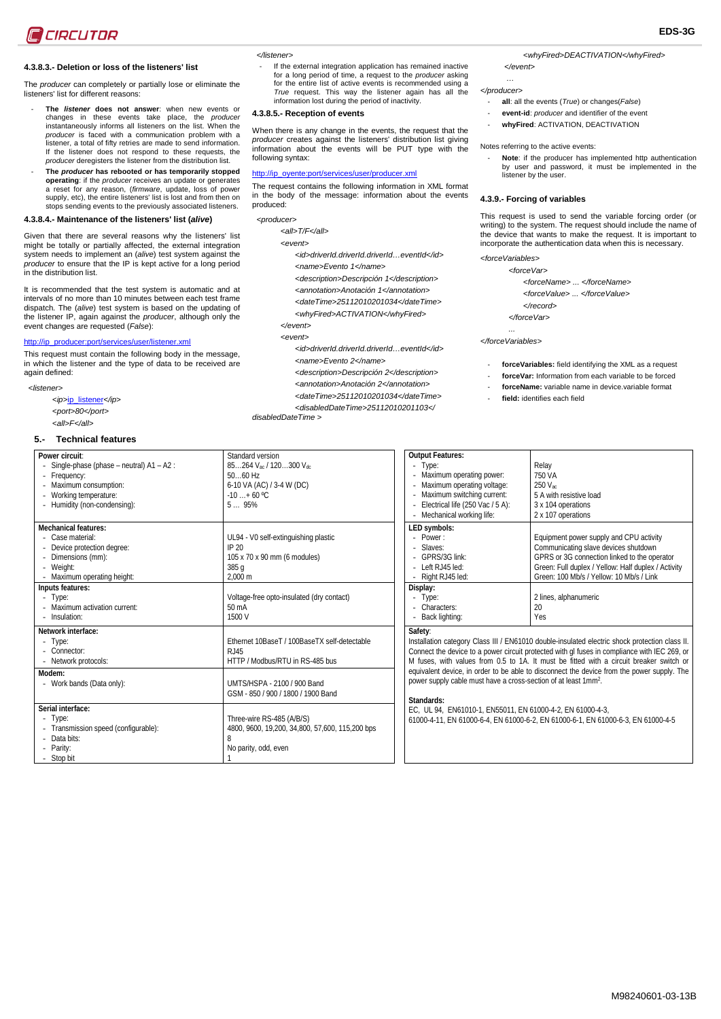# **4.3.8.3.- Deletion or loss of the listeners' list**

The *producer* can completely or partially lose or eliminate the listeners' list for different reasons:

- The *listener* does not answer: when new events or changes in these events take place, the *producer* instantaneously informs all listeners on the list. When the *producer* is faced with a communication problem with a listener, a total of fifty retries are made to send information. If the listener does not respond to these requests, the *producer* deregisters the listener from the distribution list.
- **The** *producer* **has rebooted or has temporarily stopped operating**: if the *producer* receives an update or generates a reset for any reason, (*firmware*, update, loss of power supply, etc), the entire listeners' list is lost and from then on stops sending events to the previously associated listeners.

# **4.3.8.4.- Maintenance of the listeners' list (***alive***)**

Given that there are several reasons why the listeners' list might be totally or partially affected, the external integration system needs to implement an (*alive*) test system against the *producer* to ensure that the IP is kept active for a long period in the distribution list.

It is recommended that the test system is automatic and at intervals of no more than 10 minutes between each test frame dispatch. The (*alive*) test system is based on the updating of the listener IP, again against the *producer*, although only the event changes are requested (*False*):

#### http://ip\_producer:port/services/user/listener.xml

This request must contain the following body in the message, in which the listener and the type of data to be received are again defined:

- *<listener>*
	- *<ip>*ip\_listener*</ip> <port>80</port>*

#### **5.- Technical features**

 *<all>F</all>*

If the external integration application has remained inactive for a long period of time, a request to the *producer* asking for the entire list of active events is recommended using a *True* request. This way the listener again has all the information lost during the period of inactivity.

# **4.3.8.5.- Reception of events**

When there is any change in the events, the request that the *producer* creates against the listeners' distribution list giving information about the events will be PUT type with the following syntax:

# http://ip\_oyente:port/services/user/producer.xml

The request contains the following information in XML format in the body of the message: information about the events produced:

 *<producer>*

- *<all>T/F</all>*
- *<event>*
	- *<id>driverId.driverId.driverId…eventId</id> <name>Evento 1</name>*
	-
	- *<description>Descripción 1</description> <annotation>Anotación 1</annotation>*
	- *<dateTime>25112010201034</dateTime>*
	- *<whyFired>ACTIVATION</whyFired>*
- *</event>*
- *<event>*
	- *<id>driverId.driverId.driverId…eventId</id> <name>Evento 2</name>*
	- *<description>Descripción 2</description>*
	- *<annotation>Anotación 2</annotation>*
- *<dateTime>25112010201034</dateTime>*

*<disabledDateTime>25112010201103</* 

*<whyFired>DEACTIVATION</whyFired> </event>* 

 *… </producer>*

- **all**: all the events (*True*) or changes(*False*)
- event-id: *producer* and identifier of the event
- $w$ hyFired: ACTIVATION, DEACTIVATION

#### Notes referring to the active events:

- **Note**: if the producer has implemented http authentication by user and password, it must be implemented in the listener by the user.

#### **4.3.9.- Forcing of variables**

This request is used to send the variable forcing order (or writing) to the system. The request should include the name of the device that wants to make the request. It is important to incorporate the authentication data when this is necessary.

# *<forceVariables>*

- *<forceVar>*
	- *<forceName> ... </forceName>*
	- *<forceValue> ... </forceValue>*
	- *</record>*
	- *</forceVar>*

 *... </forceVariables>*

- forceVariables: field identifying the XML as a request
- **forceVar:** Information from each variable to be forced
- forceName: variable name in device.variable format
- field: identifies each field

| Power circuit:<br>Single-phase (phase – neutral) A1 – A2 :<br>Frequency:<br>Maximum consumption:<br>Working temperature:<br>- Humidity (non-condensing): | Standard version<br>85264 Vac / 120300 Vdc<br>$5060$ Hz<br>6-10 VA (AC) / 3-4 W (DC)<br>$-10+60$ °C<br>595%                                                   |
|----------------------------------------------------------------------------------------------------------------------------------------------------------|---------------------------------------------------------------------------------------------------------------------------------------------------------------|
| <b>Mechanical features:</b><br>Case material:<br>Device protection degree:<br>- Dimensions (mm):<br>- Weight:<br>Maximum operating height:               | UL94 - V0 self-extinguishing plastic<br>IP 20<br>105 x 70 x 90 mm (6 modules)<br>385 g<br>2,000 m                                                             |
| Inputs features:<br>- Type:<br>- Maximum activation current:<br>- Insulation:                                                                            | Voltage-free opto-insulated (dry contact)<br>$50 \text{ mA}$<br>1500 V                                                                                        |
| Network interface:<br>Type:<br>- Connector:<br>- Network protocols:<br>Modem:<br>- Work bands (Data only):                                               | Ethernet 10BaseT / 100BaseTX self-detectable<br>R.J45<br>HTTP / Modbus/RTU in RS-485 bus<br>UMTS/HSPA - 2100 / 900 Band<br>GSM - 850 / 900 / 1800 / 1900 Band |
| Serial interface:<br>Type:<br>Transmission speed (configurable):<br>Data bits:<br>- Parity:<br>- Stop bit                                                | Three-wire RS-485 (A/B/S)<br>4800, 9600, 19,200, 34,800, 57,600, 115,200 bps<br>8<br>No parity, odd, even<br>1                                                |

| <b>Output Features:</b>                                                                                                                                                                                                                                                                                                                                                                                                                                                           |                                                     |  |
|-----------------------------------------------------------------------------------------------------------------------------------------------------------------------------------------------------------------------------------------------------------------------------------------------------------------------------------------------------------------------------------------------------------------------------------------------------------------------------------|-----------------------------------------------------|--|
| - Type:                                                                                                                                                                                                                                                                                                                                                                                                                                                                           | Relay                                               |  |
| Maximum operating power:                                                                                                                                                                                                                                                                                                                                                                                                                                                          | 750 VA                                              |  |
| Maximum operating voltage:                                                                                                                                                                                                                                                                                                                                                                                                                                                        | 250 Vac                                             |  |
| Maximum switching current:                                                                                                                                                                                                                                                                                                                                                                                                                                                        | 5 A with resistive load                             |  |
| Electrical life (250 Vac / 5 A):<br>$\sim$                                                                                                                                                                                                                                                                                                                                                                                                                                        | 3 x 104 operations                                  |  |
| Mechanical working life:                                                                                                                                                                                                                                                                                                                                                                                                                                                          | 2 x 107 operations                                  |  |
| LED symbols:                                                                                                                                                                                                                                                                                                                                                                                                                                                                      |                                                     |  |
| - $Power \cdot$                                                                                                                                                                                                                                                                                                                                                                                                                                                                   | Equipment power supply and CPU activity             |  |
| - Slaves:                                                                                                                                                                                                                                                                                                                                                                                                                                                                         | Communicating slave devices shutdown                |  |
| - GPRS/3G link:                                                                                                                                                                                                                                                                                                                                                                                                                                                                   | GPRS or 3G connection linked to the operator        |  |
| Left RJ45 led:                                                                                                                                                                                                                                                                                                                                                                                                                                                                    | Green: Full duplex / Yellow: Half duplex / Activity |  |
| Right RJ45 led:                                                                                                                                                                                                                                                                                                                                                                                                                                                                   | Green: 100 Mb/s / Yellow: 10 Mb/s / Link            |  |
| Display:                                                                                                                                                                                                                                                                                                                                                                                                                                                                          |                                                     |  |
| - Type:                                                                                                                                                                                                                                                                                                                                                                                                                                                                           | 2 lines, alphanumeric                               |  |
| - Characters:                                                                                                                                                                                                                                                                                                                                                                                                                                                                     | 20                                                  |  |
| Back lighting:                                                                                                                                                                                                                                                                                                                                                                                                                                                                    | Yes                                                 |  |
| Safety:<br>Installation category Class III / EN61010 double-insulated electric shock protection class II.<br>Connect the device to a power circuit protected with gl fuses in compliance with IEC 269, or<br>M fuses, with values from 0.5 to 1A. It must be fitted with a circuit breaker switch or<br>equivalent device, in order to be able to disconnect the device from the power supply. The<br>power supply cable must have a cross-section of at least 1mm <sup>2</sup> . |                                                     |  |
| Standards:                                                                                                                                                                                                                                                                                                                                                                                                                                                                        |                                                     |  |

EC, UL 94, EN61010-1, EN55011, EN 61000-4-2, EN 61000-4-3,

61000-4-11, EN 61000-6-4, EN 61000-6-2, EN 61000-6-1, EN 61000-6-3, EN 61000-4-5

*disabledDateTime >*